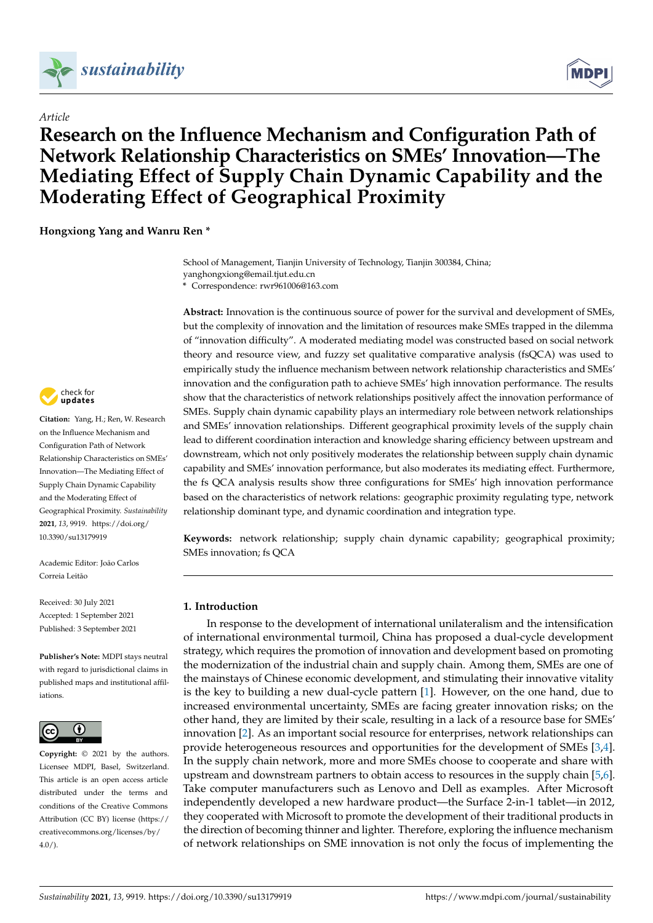

*Article*



# **Research on the Influence Mechanism and Configuration Path of Network Relationship Characteristics on SMEs' Innovation—The Mediating Effect of Supply Chain Dynamic Capability and the Moderating Effect of Geographical Proximity**

**Hongxiong Yang and Wanru Ren \***

School of Management, Tianjin University of Technology, Tianjin 300384, China; yanghongxiong@email.tjut.edu.cn

**\*** Correspondence: rwr961006@163.com

**Abstract:** Innovation is the continuous source of power for the survival and development of SMEs, but the complexity of innovation and the limitation of resources make SMEs trapped in the dilemma of "innovation difficulty". A moderated mediating model was constructed based on social network theory and resource view, and fuzzy set qualitative comparative analysis (fsQCA) was used to empirically study the influence mechanism between network relationship characteristics and SMEs' innovation and the configuration path to achieve SMEs' high innovation performance. The results show that the characteristics of network relationships positively affect the innovation performance of SMEs. Supply chain dynamic capability plays an intermediary role between network relationships and SMEs' innovation relationships. Different geographical proximity levels of the supply chain lead to different coordination interaction and knowledge sharing efficiency between upstream and downstream, which not only positively moderates the relationship between supply chain dynamic capability and SMEs' innovation performance, but also moderates its mediating effect. Furthermore, the fs QCA analysis results show three configurations for SMEs' high innovation performance based on the characteristics of network relations: geographic proximity regulating type, network relationship dominant type, and dynamic coordination and integration type.

**Keywords:** network relationship; supply chain dynamic capability; geographical proximity; SMEs innovation; fs QCA

### **1. Introduction**

In response to the development of international unilateralism and the intensification of international environmental turmoil, China has proposed a dual-cycle development strategy, which requires the promotion of innovation and development based on promoting the modernization of the industrial chain and supply chain. Among them, SMEs are one of the mainstays of Chinese economic development, and stimulating their innovative vitality is the key to building a new dual-cycle pattern [\[1\]](#page-14-0). However, on the one hand, due to increased environmental uncertainty, SMEs are facing greater innovation risks; on the other hand, they are limited by their scale, resulting in a lack of a resource base for SMEs' innovation [\[2\]](#page-14-1). As an important social resource for enterprises, network relationships can provide heterogeneous resources and opportunities for the development of SMEs [\[3,](#page-14-2)[4\]](#page-14-3). In the supply chain network, more and more SMEs choose to cooperate and share with upstream and downstream partners to obtain access to resources in the supply chain [\[5](#page-14-4)[,6\]](#page-14-5). Take computer manufacturers such as Lenovo and Dell as examples. After Microsoft independently developed a new hardware product—the Surface 2-in-1 tablet—in 2012, they cooperated with Microsoft to promote the development of their traditional products in the direction of becoming thinner and lighter. Therefore, exploring the influence mechanism of network relationships on SME innovation is not only the focus of implementing the



**Citation:** Yang, H.; Ren, W. Research on the Influence Mechanism and Configuration Path of Network Relationship Characteristics on SMEs' Innovation—The Mediating Effect of Supply Chain Dynamic Capability and the Moderating Effect of Geographical Proximity. *Sustainability* **2021**, *13*, 9919. [https://doi.org/](https://doi.org/10.3390/su13179919) [10.3390/su13179919](https://doi.org/10.3390/su13179919)

Academic Editor: João Carlos Correia Leitão

Received: 30 July 2021 Accepted: 1 September 2021 Published: 3 September 2021

**Publisher's Note:** MDPI stays neutral with regard to jurisdictional claims in published maps and institutional affiliations.



**Copyright:** © 2021 by the authors. Licensee MDPI, Basel, Switzerland. This article is an open access article distributed under the terms and conditions of the Creative Commons Attribution (CC BY) license (https:/[/](https://creativecommons.org/licenses/by/4.0/) [creativecommons.org/licenses/by/](https://creativecommons.org/licenses/by/4.0/)  $4.0/$ ).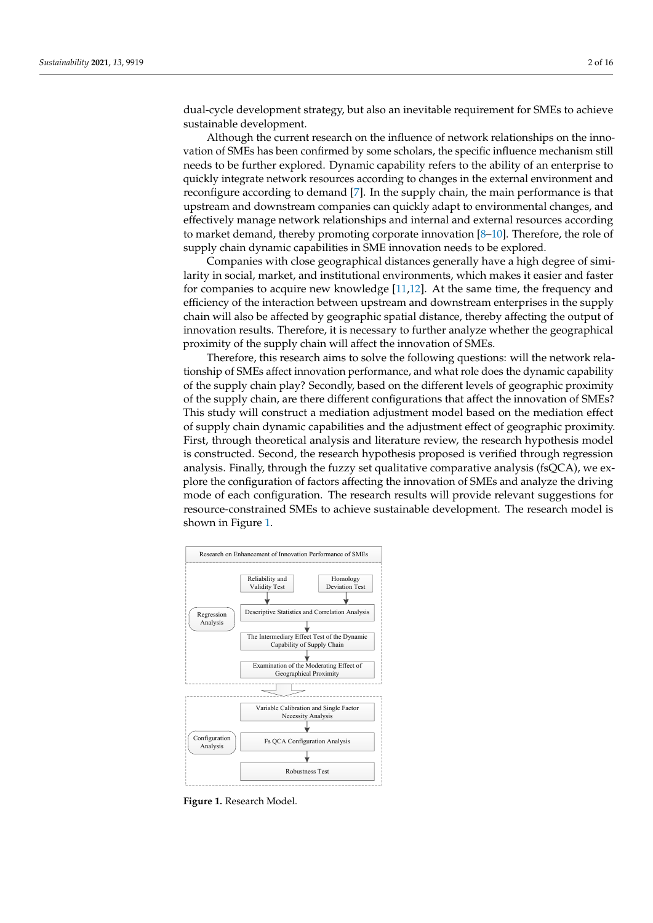dual-cycle development strategy, but also an inevitable requirement for SMEs to achieve sustainable development.

Although the current research on the influence of network relationships on the innovation of SMEs has been confirmed by some scholars, the specific influence mechanism still needs to be further explored. Dynamic capability refers to the ability of an enterprise to quickly integrate network resources according to changes in the external environment and reconfigure according to demand [\[7\]](#page-14-6). In the supply chain, the main performance is that upstream and downstream companies can quickly adapt to environmental changes, and effectively manage network relationships and internal and external resources according to market demand, thereby promoting corporate innovation  $[8-10]$  $[8-10]$ . Therefore, the role of supply chain dynamic capabilities in SME innovation needs to be explored.

Companies with close geographical distances generally have a high degree of similarity in social, market, and institutional environments, which makes it easier and faster for companies to acquire new knowledge [\[11,](#page-14-9)[12\]](#page-14-10). At the same time, the frequency and efficiency of the interaction between upstream and downstream enterprises in the supply chain will also be affected by geographic spatial distance, thereby affecting the output of innovation results. Therefore, it is necessary to further analyze whether the geographical proximity of the supply chain will affect the innovation of SMEs.

Therefore, this research aims to solve the following questions: will the network relationship of SMEs affect innovation performance, and what role does the dynamic capability of the supply chain play? Secondly, based on the different levels of geographic proximity of the supply chain, are there different configurations that affect the innovation of SMEs? This study will construct a mediation adjustment model based on the mediation effect of supply chain dynamic capabilities and the adjustment effect of geographic proximity. First, through theoretical analysis and literature review, the research hypothesis model is constructed. Second, the research hypothesis proposed is verified through regression analysis. Finally, through the fuzzy set qualitative comparative analysis (fsQCA), we explore the configuration of factors affecting the innovation of SMEs and analyze the driving mode of each configuration. The research results will provide relevant suggestions for resource-constrained SMEs to achieve sustainable development. The research model is shown in Figure [1.](#page-1-0)

<span id="page-1-0"></span>

**Figure 1.** Research Model. **Figure 1.** Research Model.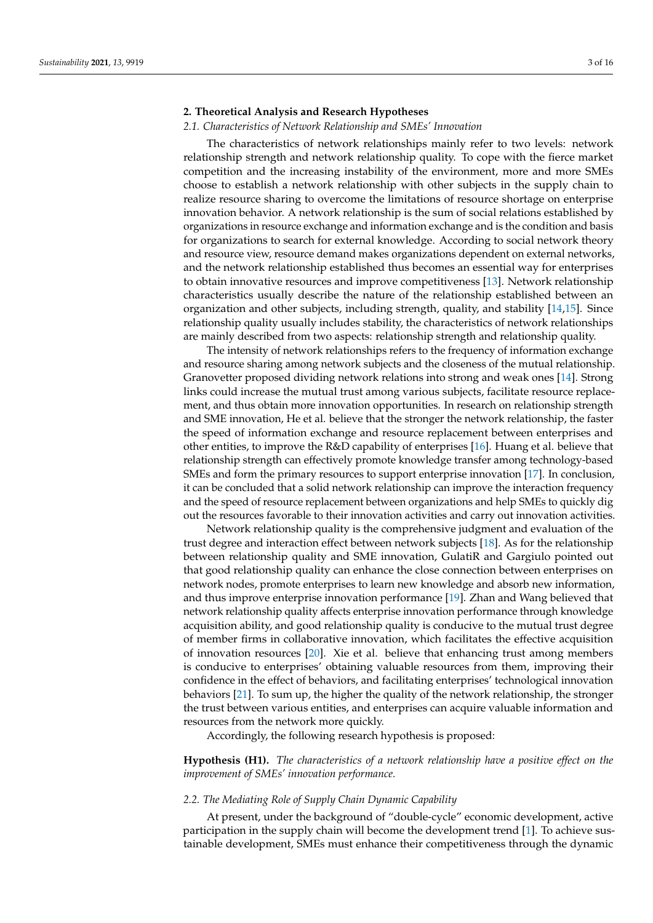## **2. Theoretical Analysis and Research Hypotheses**

#### *2.1. Characteristics of Network Relationship and SMEs' Innovation*

The characteristics of network relationships mainly refer to two levels: network relationship strength and network relationship quality. To cope with the fierce market competition and the increasing instability of the environment, more and more SMEs choose to establish a network relationship with other subjects in the supply chain to realize resource sharing to overcome the limitations of resource shortage on enterprise innovation behavior. A network relationship is the sum of social relations established by organizations in resource exchange and information exchange and is the condition and basis for organizations to search for external knowledge. According to social network theory and resource view, resource demand makes organizations dependent on external networks, and the network relationship established thus becomes an essential way for enterprises to obtain innovative resources and improve competitiveness [\[13\]](#page-14-11). Network relationship characteristics usually describe the nature of the relationship established between an organization and other subjects, including strength, quality, and stability [\[14](#page-14-12)[,15\]](#page-14-13). Since relationship quality usually includes stability, the characteristics of network relationships are mainly described from two aspects: relationship strength and relationship quality.

The intensity of network relationships refers to the frequency of information exchange and resource sharing among network subjects and the closeness of the mutual relationship. Granovetter proposed dividing network relations into strong and weak ones [\[14\]](#page-14-12). Strong links could increase the mutual trust among various subjects, facilitate resource replacement, and thus obtain more innovation opportunities. In research on relationship strength and SME innovation, He et al. believe that the stronger the network relationship, the faster the speed of information exchange and resource replacement between enterprises and other entities, to improve the R&D capability of enterprises [\[16\]](#page-14-14). Huang et al. believe that relationship strength can effectively promote knowledge transfer among technology-based SMEs and form the primary resources to support enterprise innovation [\[17\]](#page-14-15). In conclusion, it can be concluded that a solid network relationship can improve the interaction frequency and the speed of resource replacement between organizations and help SMEs to quickly dig out the resources favorable to their innovation activities and carry out innovation activities.

Network relationship quality is the comprehensive judgment and evaluation of the trust degree and interaction effect between network subjects [\[18\]](#page-14-16). As for the relationship between relationship quality and SME innovation, GulatiR and Gargiulo pointed out that good relationship quality can enhance the close connection between enterprises on network nodes, promote enterprises to learn new knowledge and absorb new information, and thus improve enterprise innovation performance [\[19\]](#page-14-17). Zhan and Wang believed that network relationship quality affects enterprise innovation performance through knowledge acquisition ability, and good relationship quality is conducive to the mutual trust degree of member firms in collaborative innovation, which facilitates the effective acquisition of innovation resources [\[20\]](#page-14-18). Xie et al. believe that enhancing trust among members is conducive to enterprises' obtaining valuable resources from them, improving their confidence in the effect of behaviors, and facilitating enterprises' technological innovation behaviors [\[21\]](#page-14-19). To sum up, the higher the quality of the network relationship, the stronger the trust between various entities, and enterprises can acquire valuable information and resources from the network more quickly.

Accordingly, the following research hypothesis is proposed:

**Hypothesis (H1).** *The characteristics of a network relationship have a positive effect on the improvement of SMEs' innovation performance.*

#### *2.2. The Mediating Role of Supply Chain Dynamic Capability*

At present, under the background of "double-cycle" economic development, active participation in the supply chain will become the development trend [\[1\]](#page-14-0). To achieve sustainable development, SMEs must enhance their competitiveness through the dynamic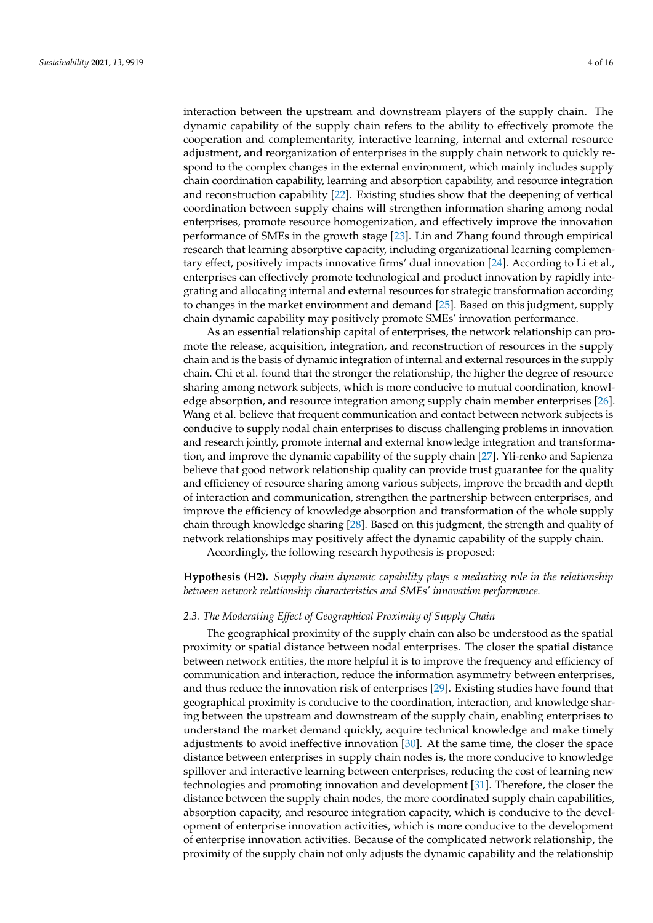interaction between the upstream and downstream players of the supply chain. The dynamic capability of the supply chain refers to the ability to effectively promote the cooperation and complementarity, interactive learning, internal and external resource adjustment, and reorganization of enterprises in the supply chain network to quickly respond to the complex changes in the external environment, which mainly includes supply chain coordination capability, learning and absorption capability, and resource integration and reconstruction capability [\[22\]](#page-14-20). Existing studies show that the deepening of vertical coordination between supply chains will strengthen information sharing among nodal enterprises, promote resource homogenization, and effectively improve the innovation performance of SMEs in the growth stage [\[23\]](#page-14-21). Lin and Zhang found through empirical research that learning absorptive capacity, including organizational learning complementary effect, positively impacts innovative firms' dual innovation [\[24\]](#page-14-22). According to Li et al., enterprises can effectively promote technological and product innovation by rapidly integrating and allocating internal and external resources for strategic transformation according to changes in the market environment and demand [\[25\]](#page-14-23). Based on this judgment, supply chain dynamic capability may positively promote SMEs' innovation performance.

As an essential relationship capital of enterprises, the network relationship can promote the release, acquisition, integration, and reconstruction of resources in the supply chain and is the basis of dynamic integration of internal and external resources in the supply chain. Chi et al. found that the stronger the relationship, the higher the degree of resource sharing among network subjects, which is more conducive to mutual coordination, knowledge absorption, and resource integration among supply chain member enterprises [\[26\]](#page-14-24). Wang et al. believe that frequent communication and contact between network subjects is conducive to supply nodal chain enterprises to discuss challenging problems in innovation and research jointly, promote internal and external knowledge integration and transformation, and improve the dynamic capability of the supply chain [\[27\]](#page-15-0). Yli-renko and Sapienza believe that good network relationship quality can provide trust guarantee for the quality and efficiency of resource sharing among various subjects, improve the breadth and depth of interaction and communication, strengthen the partnership between enterprises, and improve the efficiency of knowledge absorption and transformation of the whole supply chain through knowledge sharing [\[28\]](#page-15-1). Based on this judgment, the strength and quality of network relationships may positively affect the dynamic capability of the supply chain.

Accordingly, the following research hypothesis is proposed:

**Hypothesis (H2).** *Supply chain dynamic capability plays a mediating role in the relationship between network relationship characteristics and SMEs' innovation performance.*

#### *2.3. The Moderating Effect of Geographical Proximity of Supply Chain*

The geographical proximity of the supply chain can also be understood as the spatial proximity or spatial distance between nodal enterprises. The closer the spatial distance between network entities, the more helpful it is to improve the frequency and efficiency of communication and interaction, reduce the information asymmetry between enterprises, and thus reduce the innovation risk of enterprises [\[29\]](#page-15-2). Existing studies have found that geographical proximity is conducive to the coordination, interaction, and knowledge sharing between the upstream and downstream of the supply chain, enabling enterprises to understand the market demand quickly, acquire technical knowledge and make timely adjustments to avoid ineffective innovation [\[30\]](#page-15-3). At the same time, the closer the space distance between enterprises in supply chain nodes is, the more conducive to knowledge spillover and interactive learning between enterprises, reducing the cost of learning new technologies and promoting innovation and development [\[31\]](#page-15-4). Therefore, the closer the distance between the supply chain nodes, the more coordinated supply chain capabilities, absorption capacity, and resource integration capacity, which is conducive to the development of enterprise innovation activities, which is more conducive to the development of enterprise innovation activities. Because of the complicated network relationship, the proximity of the supply chain not only adjusts the dynamic capability and the relationship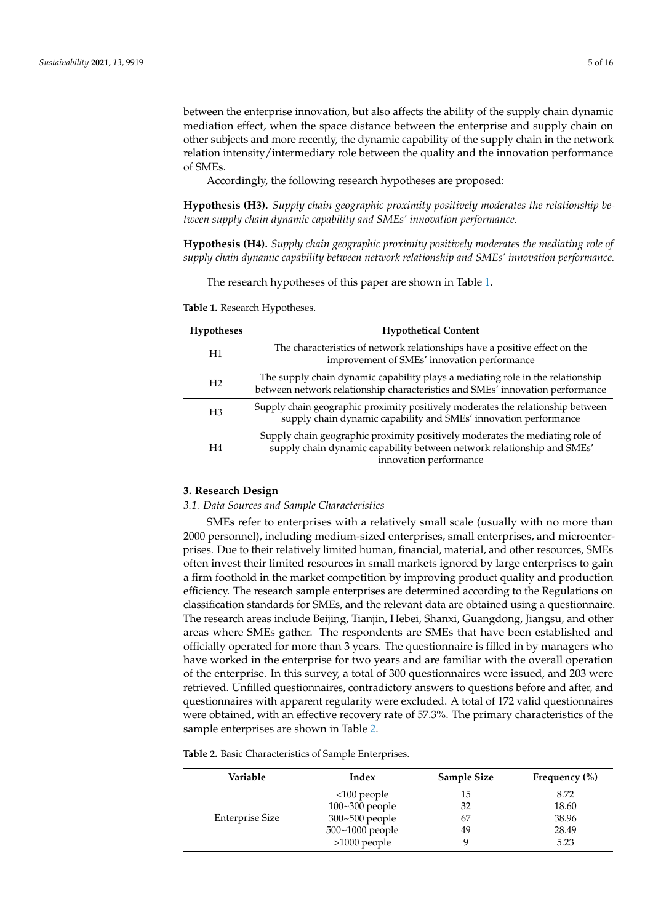between the enterprise innovation, but also affects the ability of the supply chain dynamic mediation effect, when the space distance between the enterprise and supply chain on other subjects and more recently, the dynamic capability of the supply chain in the network relation intensity/intermediary role between the quality and the innovation performance of SMEs.

Accordingly, the following research hypotheses are proposed:

**Hypothesis (H3).** *Supply chain geographic proximity positively moderates the relationship between supply chain dynamic capability and SMEs' innovation performance.*

**Hypothesis (H4).** *Supply chain geographic proximity positively moderates the mediating role of supply chain dynamic capability between network relationship and SMEs' innovation performance.*

The research hypotheses of this paper are shown in Table [1.](#page-4-0)

**Hypotheses Hypothetical Content** H1 The characteristics of network relationships have a positive effect on the improvement of SMEs' innovation performance H2 The supply chain dynamic capability plays a mediating role in the relationship between network relationship characteristics and SMEs' innovation performance H3 Supply chain geographic proximity positively moderates the relationship between supply chain dynamic capability and SMEs' innovation performance H4 Supply chain geographic proximity positively moderates the mediating role of supply chain dynamic capability between network relationship and SMEs' innovation performance

<span id="page-4-0"></span>**Table 1.** Research Hypotheses.

#### **3. Research Design**

#### *3.1. Data Sources and Sample Characteristics*

SMEs refer to enterprises with a relatively small scale (usually with no more than 2000 personnel), including medium-sized enterprises, small enterprises, and microenterprises. Due to their relatively limited human, financial, material, and other resources, SMEs often invest their limited resources in small markets ignored by large enterprises to gain a firm foothold in the market competition by improving product quality and production efficiency. The research sample enterprises are determined according to the Regulations on classification standards for SMEs, and the relevant data are obtained using a questionnaire. The research areas include Beijing, Tianjin, Hebei, Shanxi, Guangdong, Jiangsu, and other areas where SMEs gather. The respondents are SMEs that have been established and officially operated for more than 3 years. The questionnaire is filled in by managers who have worked in the enterprise for two years and are familiar with the overall operation of the enterprise. In this survey, a total of 300 questionnaires were issued, and 203 were retrieved. Unfilled questionnaires, contradictory answers to questions before and after, and questionnaires with apparent regularity were excluded. A total of 172 valid questionnaires were obtained, with an effective recovery rate of 57.3%. The primary characteristics of the sample enterprises are shown in Table [2.](#page-5-0)

**Table 2.** Basic Characteristics of Sample Enterprises.

| Variable               | Index              | <b>Sample Size</b> | Frequency $(\% )$ |
|------------------------|--------------------|--------------------|-------------------|
|                        | $<100$ people      | 15                 | 8.72              |
|                        | $100 - 300$ people | 32                 | 18.60             |
| <b>Enterprise Size</b> | 300~500 people     | 67                 | 38.96             |
|                        | 500~1000 people    | 49                 | 28.49             |
|                        | >1000 people       |                    | 5.23              |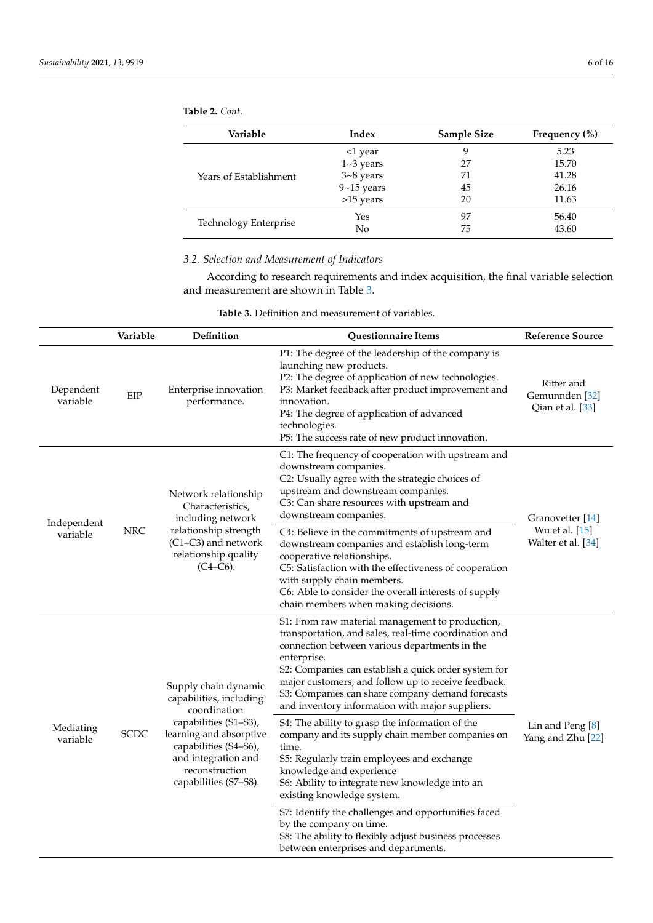<span id="page-5-0"></span>**Table 2.** *Cont.*

| Variable               | Index          | <b>Sample Size</b> | Frequency $(\% )$ |
|------------------------|----------------|--------------------|-------------------|
|                        | $<$ 1 year     | 9                  | 5.23              |
|                        | $1 - 3$ years  | 27                 | 15.70             |
| Years of Establishment | $3 - 8$ years  | 71                 | 41.28             |
|                        | $9 - 15$ years | 45                 | 26.16             |
|                        | >15 years      | 20                 | 11.63             |
|                        | Yes            | 97                 | 56.40             |
| Technology Enterprise  | No             | 75                 | 43.60             |

# *3.2. Selection and Measurement of Indicators*

According to research requirements and index acquisition, the final variable selection and measurement are shown in Table [3.](#page-6-0)

| <b>Table 3.</b> Definition and measurement of variables. |
|----------------------------------------------------------|
|                                                          |

|                         | Variable                                                                                                                                                   | Definition                                                                          | <b>Questionnaire Items</b>                                                                                                                                                                                                                                                                                                                                                                     | <b>Reference Source</b>                                     |
|-------------------------|------------------------------------------------------------------------------------------------------------------------------------------------------------|-------------------------------------------------------------------------------------|------------------------------------------------------------------------------------------------------------------------------------------------------------------------------------------------------------------------------------------------------------------------------------------------------------------------------------------------------------------------------------------------|-------------------------------------------------------------|
| Dependent<br>variable   | EIP                                                                                                                                                        | Enterprise innovation<br>performance.                                               | P1: The degree of the leadership of the company is<br>launching new products.<br>P2: The degree of application of new technologies.<br>P3: Market feedback after product improvement and<br>innovation.<br>P4: The degree of application of advanced<br>technologies.<br>P5: The success rate of new product innovation.                                                                       | Ritter and<br>Gemunnden <sup>[32]</sup><br>Qian et al. [33] |
|                         |                                                                                                                                                            | Network relationship<br>Characteristics,<br>including network                       | C1: The frequency of cooperation with upstream and<br>downstream companies.<br>C2: Usually agree with the strategic choices of<br>upstream and downstream companies.<br>C3: Can share resources with upstream and<br>downstream companies.                                                                                                                                                     | Granovetter [14]                                            |
| Independent<br>variable | <b>NRC</b>                                                                                                                                                 | relationship strength<br>(C1-C3) and network<br>relationship quality<br>$(C4-C6)$ . | C4: Believe in the commitments of upstream and<br>downstream companies and establish long-term<br>cooperative relationships.<br>C5: Satisfaction with the effectiveness of cooperation<br>with supply chain members.<br>C6: Able to consider the overall interests of supply<br>chain members when making decisions.                                                                           | Wu et al. [15]<br>Walter et al. [34]                        |
|                         |                                                                                                                                                            | Supply chain dynamic<br>capabilities, including<br>coordination                     | S1: From raw material management to production,<br>transportation, and sales, real-time coordination and<br>connection between various departments in the<br>enterprise.<br>S2: Companies can establish a quick order system for<br>major customers, and follow up to receive feedback.<br>S3: Companies can share company demand forecasts<br>and inventory information with major suppliers. |                                                             |
| Mediating<br>variable   | capabilities (S1-S3),<br><b>SCDC</b><br>learning and absorptive<br>capabilities (S4-S6),<br>and integration and<br>reconstruction<br>capabilities (S7-S8). |                                                                                     | S4: The ability to grasp the information of the<br>company and its supply chain member companies on<br>time.<br>S5: Regularly train employees and exchange<br>knowledge and experience<br>S6: Ability to integrate new knowledge into an<br>existing knowledge system.                                                                                                                         | Lin and Peng [8]<br>Yang and Zhu [22]                       |
|                         |                                                                                                                                                            |                                                                                     | S7: Identify the challenges and opportunities faced<br>by the company on time.<br>S8: The ability to flexibly adjust business processes<br>between enterprises and departments.                                                                                                                                                                                                                |                                                             |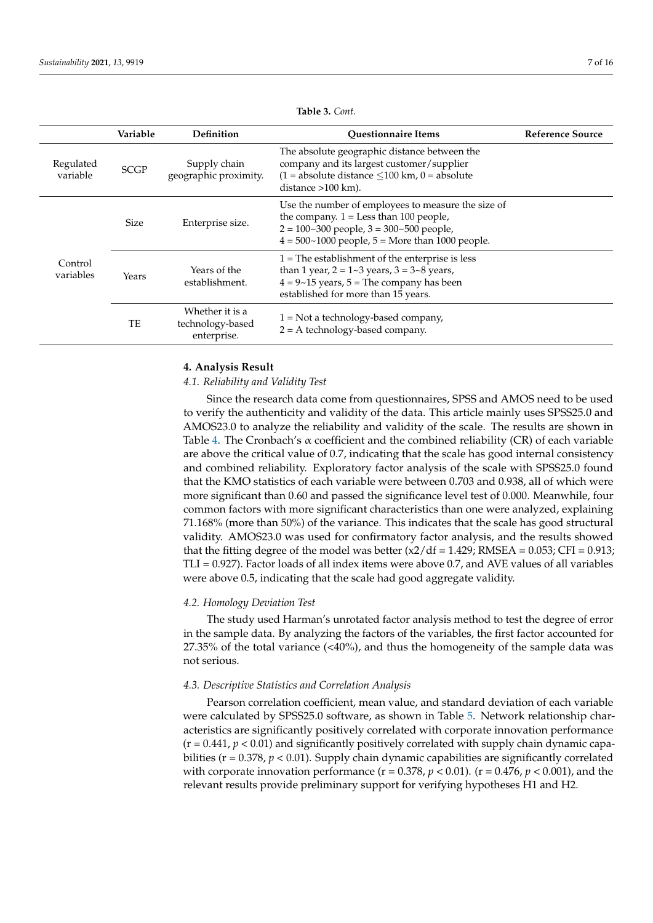<span id="page-6-0"></span>

|                       | Variable    | <b>Definition</b>                                  | <b>Ouestionnaire Items</b>                                                                                                                                                                                 | <b>Reference Source</b> |
|-----------------------|-------------|----------------------------------------------------|------------------------------------------------------------------------------------------------------------------------------------------------------------------------------------------------------------|-------------------------|
| Regulated<br>variable | <b>SCGP</b> | Supply chain<br>geographic proximity.              | The absolute geographic distance between the<br>company and its largest customer/supplier<br>$(1 = absolute distance \le 100$ km, $0 = absolute$<br>distance >100 km).                                     |                         |
|                       | <b>Size</b> | Enterprise size.                                   | Use the number of employees to measure the size of<br>the company. $1 =$ Less than 100 people,<br>$2 = 100 - 300$ people, $3 = 300 - 500$ people,<br>$4 = 500 - 1000$ people, $5 =$ More than 1000 people. |                         |
| Control<br>variables  | Years       | Years of the<br>establishment.                     | $1 =$ The establishment of the enterprise is less<br>than 1 year, $2 = 1 - 3$ years, $3 = 3 - 8$ years,<br>$4 = 9 \sim 15$ years, $5 =$ The company has been<br>established for more than 15 years.        |                         |
|                       | TE          | Whether it is a<br>technology-based<br>enterprise. | $1 = Not$ a technology-based company,<br>$2 = A$ technology-based company.                                                                                                                                 |                         |

**Table 3.** *Cont.*

# **4. Analysis Result**

## *4.1. Reliability and Validity Test*

Since the research data come from questionnaires, SPSS and AMOS need to be used to verify the authenticity and validity of the data. This article mainly uses SPSS25.0 and AMOS23.0 to analyze the reliability and validity of the scale. The results are shown in Table [4.](#page-7-0) The Cronbach's  $\alpha$  coefficient and the combined reliability (CR) of each variable are above the critical value of 0.7, indicating that the scale has good internal consistency and combined reliability. Exploratory factor analysis of the scale with SPSS25.0 found that the KMO statistics of each variable were between 0.703 and 0.938, all of which were more significant than 0.60 and passed the significance level test of 0.000. Meanwhile, four common factors with more significant characteristics than one were analyzed, explaining 71.168% (more than 50%) of the variance. This indicates that the scale has good structural validity. AMOS23.0 was used for confirmatory factor analysis, and the results showed that the fitting degree of the model was better  $(x2/df = 1.429; RMSEA = 0.053; CFI = 0.913;$ TLI = 0.927). Factor loads of all index items were above 0.7, and AVE values of all variables were above 0.5, indicating that the scale had good aggregate validity.

# *4.2. Homology Deviation Test*

The study used Harman's unrotated factor analysis method to test the degree of error in the sample data. By analyzing the factors of the variables, the first factor accounted for 27.35% of the total variance  $\langle \langle 40\% \rangle$ , and thus the homogeneity of the sample data was not serious.

### *4.3. Descriptive Statistics and Correlation Analysis*

Pearson correlation coefficient, mean value, and standard deviation of each variable were calculated by SPSS25.0 software, as shown in Table [5.](#page-7-1) Network relationship characteristics are significantly positively correlated with corporate innovation performance  $(r = 0.441, p < 0.01)$  and significantly positively correlated with supply chain dynamic capabilities ( $r = 0.378$ ,  $p < 0.01$ ). Supply chain dynamic capabilities are significantly correlated with corporate innovation performance  $(r = 0.378, p < 0.01)$ .  $(r = 0.476, p < 0.001)$ , and the relevant results provide preliminary support for verifying hypotheses H1 and H2.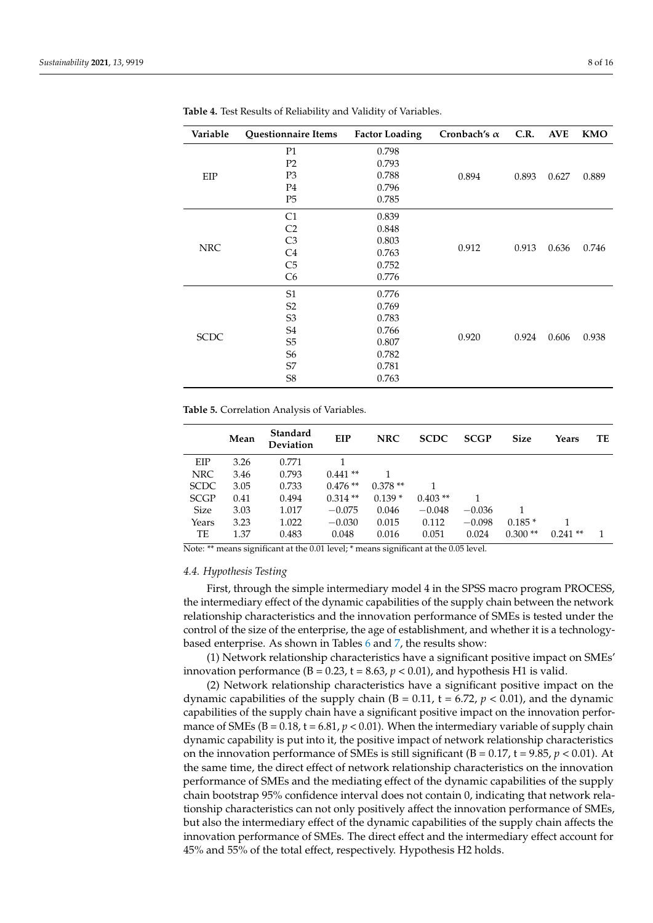| Variable    | Questionnaire Items | <b>Factor Loading</b> | Cronbach's $\alpha$ | C.R.  | <b>AVE</b> | <b>KMO</b> |
|-------------|---------------------|-----------------------|---------------------|-------|------------|------------|
|             | P <sub>1</sub>      | 0.798                 |                     |       |            |            |
|             | P <sub>2</sub>      | 0.793                 |                     |       |            |            |
| EIP         | P <sub>3</sub>      | 0.788                 | 0.894               | 0.893 | 0.627      | 0.889      |
|             | P <sub>4</sub>      | 0.796                 |                     |       |            |            |
|             | P <sub>5</sub>      | 0.785                 |                     |       |            |            |
|             | C1                  | 0.839                 |                     |       |            |            |
|             | C <sub>2</sub>      | 0.848                 |                     |       |            | 0.746      |
|             | C <sub>3</sub>      | 0.803                 |                     |       |            |            |
| <b>NRC</b>  | C <sub>4</sub>      | 0.763                 | 0.912               | 0.913 | 0.636      |            |
|             | C <sub>5</sub>      | 0.752                 |                     |       |            |            |
|             | C <sub>6</sub>      | 0.776                 |                     |       |            |            |
|             | S <sub>1</sub>      | 0.776                 |                     |       |            |            |
|             | S <sub>2</sub>      | 0.769                 |                     |       |            |            |
|             | S <sub>3</sub>      | 0.783                 |                     |       |            |            |
|             | S4                  | 0.766                 |                     |       |            |            |
| <b>SCDC</b> | S <sub>5</sub>      | 0.807                 | 0.920               | 0.924 | 0.606      | 0.938      |
|             | S6                  | 0.782                 |                     |       |            |            |
|             | S7                  | 0.781                 |                     |       |            |            |
|             | S <sub>8</sub>      | 0.763                 |                     |       |            |            |

<span id="page-7-0"></span>**Table 4.** Test Results of Reliability and Validity of Variables.

<span id="page-7-1"></span>**Table 5.** Correlation Analysis of Variables.

|             | Mean | <b>Standard</b><br>Deviation | EIP       | <b>NRC</b> | <b>SCDC</b> | <b>SCGP</b> | <b>Size</b> | Years     | TE |
|-------------|------|------------------------------|-----------|------------|-------------|-------------|-------------|-----------|----|
| EIP         | 3.26 | 0.771                        |           |            |             |             |             |           |    |
| <b>NRC</b>  | 3.46 | 0.793                        | $0.441**$ |            |             |             |             |           |    |
| <b>SCDC</b> | 3.05 | 0.733                        | $0.476**$ | $0.378**$  |             |             |             |           |    |
| <b>SCGP</b> | 0.41 | 0.494                        | $0.314**$ | $0.139*$   | $0.403**$   |             |             |           |    |
| <b>Size</b> | 3.03 | 1.017                        | $-0.075$  | 0.046      | $-0.048$    | $-0.036$    |             |           |    |
| Years       | 3.23 | 1.022                        | $-0.030$  | 0.015      | 0.112       | $-0.098$    | $0.185*$    |           |    |
| TE          | 1.37 | 0.483                        | 0.048     | 0.016      | 0.051       | 0.024       | $0.300**$   | $0.241**$ |    |

Note: \*\* means significant at the 0.01 level; \* means significant at the 0.05 level.

#### *4.4. Hypothesis Testing*

First, through the simple intermediary model 4 in the SPSS macro program PROCESS, the intermediary effect of the dynamic capabilities of the supply chain between the network relationship characteristics and the innovation performance of SMEs is tested under the control of the size of the enterprise, the age of establishment, and whether it is a technologybased enterprise. As shown in Tables [6](#page-8-0) and [7,](#page-8-1) the results show:

(1) Network relationship characteristics have a significant positive impact on SMEs' innovation performance ( $B = 0.23$ ,  $t = 8.63$ ,  $p < 0.01$ ), and hypothesis H1 is valid.

(2) Network relationship characteristics have a significant positive impact on the dynamic capabilities of the supply chain  $(B = 0.11, t = 6.72, p < 0.01)$ , and the dynamic capabilities of the supply chain have a significant positive impact on the innovation performance of SMEs ( $B = 0.18$ ,  $t = 6.81$ ,  $p < 0.01$ ). When the intermediary variable of supply chain dynamic capability is put into it, the positive impact of network relationship characteristics on the innovation performance of SMEs is still significant ( $B = 0.17$ ,  $t = 9.85$ ,  $p < 0.01$ ). At the same time, the direct effect of network relationship characteristics on the innovation performance of SMEs and the mediating effect of the dynamic capabilities of the supply chain bootstrap 95% confidence interval does not contain 0, indicating that network relationship characteristics can not only positively affect the innovation performance of SMEs, but also the intermediary effect of the dynamic capabilities of the supply chain affects the innovation performance of SMEs. The direct effect and the intermediary effect account for 45% and 55% of the total effect, respectively. Hypothesis H2 holds.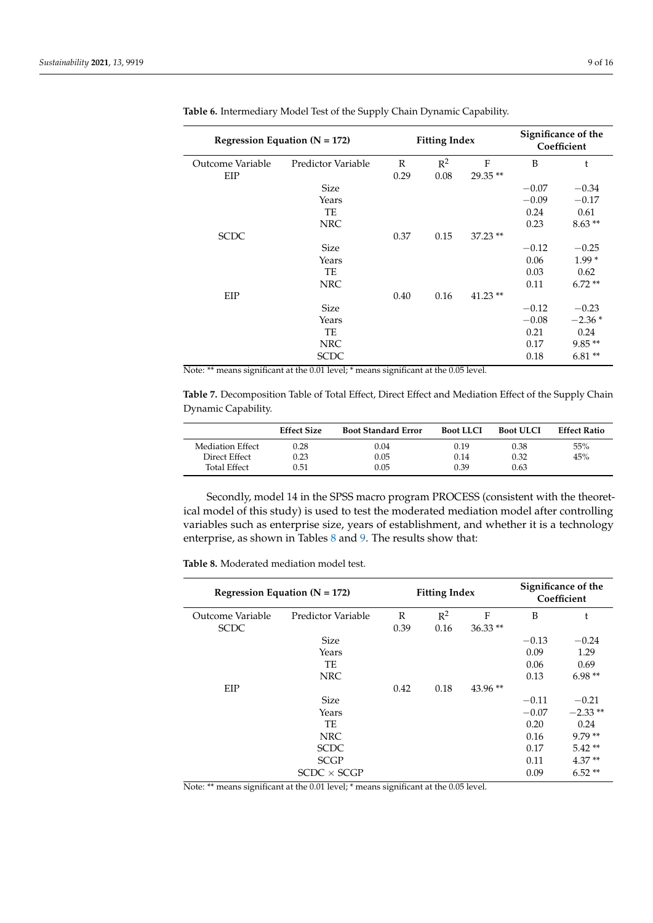|                  | Regression Equation ( $N = 172$ ) | <b>Fitting Index</b> |       |           | Significance of the<br>Coefficient |          |
|------------------|-----------------------------------|----------------------|-------|-----------|------------------------------------|----------|
| Outcome Variable | Predictor Variable                | $\mathbb{R}$         | $R^2$ | F         | B                                  | t        |
| EIP              |                                   | 0.29                 | 0.08  | 29.35**   |                                    |          |
|                  | <b>Size</b>                       |                      |       |           | $-0.07$                            | $-0.34$  |
|                  | Years                             |                      |       |           | $-0.09$                            | $-0.17$  |
|                  | TE                                |                      |       |           | 0.24                               | 0.61     |
|                  | <b>NRC</b>                        |                      |       |           | 0.23                               | $8.63**$ |
| <b>SCDC</b>      |                                   | 0.37                 | 0.15  | $37.23**$ |                                    |          |
|                  | <b>Size</b>                       |                      |       |           | $-0.12$                            | $-0.25$  |
|                  | Years                             |                      |       |           | 0.06                               | $1.99*$  |
|                  | TE                                |                      |       |           | 0.03                               | 0.62     |
|                  | <b>NRC</b>                        |                      |       |           | 0.11                               | $6.72**$ |
| EIP              |                                   | 0.40                 | 0.16  | $41.23**$ |                                    |          |
|                  | <b>Size</b>                       |                      |       |           | $-0.12$                            | $-0.23$  |
|                  | Years                             |                      |       |           | $-0.08$                            | $-2.36*$ |
|                  | TE                                |                      |       |           | 0.21                               | 0.24     |
|                  | <b>NRC</b>                        |                      |       |           | 0.17                               | $9.85**$ |
|                  | <b>SCDC</b>                       |                      |       |           | 0.18                               | $6.81**$ |

<span id="page-8-0"></span>**Table 6.** Intermediary Model Test of the Supply Chain Dynamic Capability.

Note: \*\* means significant at the 0.01 level; \* means significant at the 0.05 level.

<span id="page-8-1"></span>**Table 7.** Decomposition Table of Total Effect, Direct Effect and Mediation Effect of the Supply Chain Dynamic Capability.

|                                                          | <b>Effect Size</b>       | <b>Boot Standard Error</b> | <b>Boot LLCI</b>     | <b>Boot ULCI</b>     | <b>Effect Ratio</b> |
|----------------------------------------------------------|--------------------------|----------------------------|----------------------|----------------------|---------------------|
| Mediation Effect<br>Direct Effect<br><b>Total Effect</b> | 0.28<br>0.23<br>$0.51\,$ | 0.04<br>0.05<br>0.05       | 0.19<br>0.14<br>0.39 | 0.38<br>0.32<br>0.63 | 55%<br>45%          |

Secondly, model 14 in the SPSS macro program PROCESS (consistent with the theoretical model of this study) is used to test the moderated mediation model after controlling variables such as enterprise size, years of establishment, and whether it is a technology enterprise, as shown in Tables [8](#page-8-2) and [9.](#page-9-0) The results show that:

<span id="page-8-2"></span>**Table 8.** Moderated mediation model test.

| Regression Equation ( $N = 172$ ) |                    | <b>Fitting Index</b> |       |           | Significance of the<br>Coefficient |           |
|-----------------------------------|--------------------|----------------------|-------|-----------|------------------------------------|-----------|
| Outcome Variable                  | Predictor Variable | R                    | $R^2$ | F         | B                                  | t         |
| <b>SCDC</b>                       |                    | 0.39                 | 0.16  | $36.33**$ |                                    |           |
|                                   | <b>Size</b>        |                      |       |           | $-0.13$                            | $-0.24$   |
|                                   | Years              |                      |       |           | 0.09                               | 1.29      |
|                                   | TE                 |                      |       |           | 0.06                               | 0.69      |
|                                   | <b>NRC</b>         |                      |       |           | 0.13                               | $6.98**$  |
| EIP                               |                    | 0.42                 | 0.18  | $43.96**$ |                                    |           |
|                                   | <b>Size</b>        |                      |       |           | $-0.11$                            | $-0.21$   |
|                                   | Years              |                      |       |           | $-0.07$                            | $-2.33**$ |
|                                   | <b>TE</b>          |                      |       |           | 0.20                               | 0.24      |
|                                   | <b>NRC</b>         |                      |       |           | 0.16                               | $9.79**$  |
|                                   | <b>SCDC</b>        |                      |       |           | 0.17                               | $5.42**$  |
|                                   | <b>SCGP</b>        |                      |       |           | 0.11                               | $4.37**$  |
|                                   | $SCDC \times SCGP$ |                      |       |           | 0.09                               | $6.52**$  |

Note: \*\* means significant at the 0.01 level; \* means significant at the 0.05 level.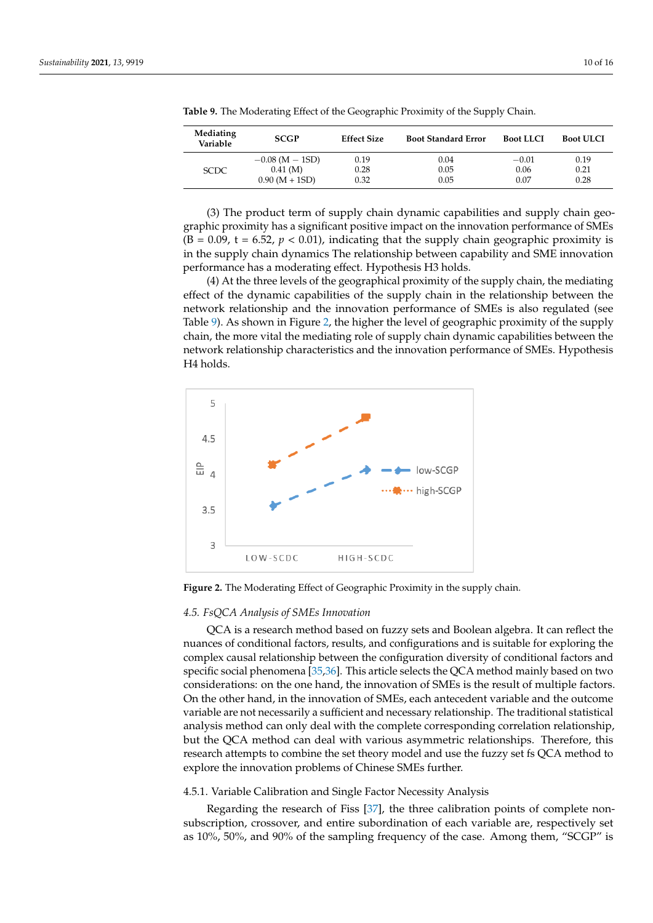| Mediating<br>Variable | <b>SCGP</b>         | <b>Effect Size</b> | <b>Boot Standard Error</b> | <b>Boot LLCI</b> | <b>Boot ULCI</b> |
|-----------------------|---------------------|--------------------|----------------------------|------------------|------------------|
|                       | $-0.08$ (M $-$ 1SD) | 0.19               | 0.04                       | $-0.01$          | 0.19             |
| <b>SCDC</b>           | 0.41(M)             | 0.28               | 0.05                       | 0.06             | 0.21             |
|                       | $0.90 (M + 1SD)$    | 0.32               | 0.05                       | 0.07             | 0.28             |

<span id="page-9-0"></span>**Table 9.** The Moderating Effect of the Geographic Proximity of the Supply Chain.

(3) The product term of supply chain dynamic capabilities and supply chain geographic proximity has a significant positive impact on the innovation performance of SMEs  $(B = 0.09, t = 6.52, p < 0.01)$ , indicating that the supply chain geographic proximity is in the supply chain dynamics The relationship between capability and SME innovation performance has a moderating effect. Hypothesis H3 holds.

> (4) At the three levels of the geographical proximity of the supply chain, the mediating effect of the dynamic capabilities of the supply chain in the relationship between the<br> **MED** is also modeled (as retwork relationship and the innovation performance of SMEs is also regulated (see<br>Table 0), As chours in Figure 2, the higher the level of geographic provincity of the currely Table [9\)](#page-9-0). As shown in Figure [2,](#page-9-1) the higher the level of geographic proximity of the supply chain, the more vital the mediating role of supply chain dynamic capabilities between the network relationship characteristics and the innovation performance of SMEs. Hypothesis H4 holds. 0.90 (M + 1SD) 0.32 0.05 0.07 0.28

<span id="page-9-1"></span>

**Figure 2.** The Moderating Effect of Geographic Proximity in the supply chain. **Figure 2.** The Moderating Effect of Geographic Proximity in the supply chain.

# *4.5. FsQCA Analysis of SMEs Innovation 4.5. FsQCA Analysis of SMEs Innovation*

QCA is a research method based on fuzzy sets and Boolean algebra. It can reflect QCA is a research method based on fuzzy sets and Boolean algebra. It can reflect the nuances of conditional factors, results, and configurations and is suitable for exploring the complex causal relationship between the configuration diversity of conditional factors and specific social phenomena [ $35,36$ ]. This article selects the QCA method mainly based on two considerations: on the one hand, the innovation of SMEs is the result of multiple factors. On the other hand, in the innovation of SMEs, each antecedent variable and the outcome variable are not necessarily a sufficient and necessary relationship. The traditional statistical analysis method can only deal with the complete corresponding correlation relationship, but the QCA method can deal with various asymmetric relationships. Therefore, this research attempts to combine the set theory model and use the fuzzy set fs QCA method to explore the innovation problems of Chinese SMEs further.

# 4.5.1. Variable Calibration and Single Factor Necessity Analysis

Regarding the research of Fiss  $[37]$ , the three calibration points of complete nonas 10%, 50%, and 90% of the sampling frequency of the case. Among them, "SCGP" is non-subscription, crossover, and entire subordination of each variable are, respectively subscription, crossover, and entire subordination of each variable are, respectively set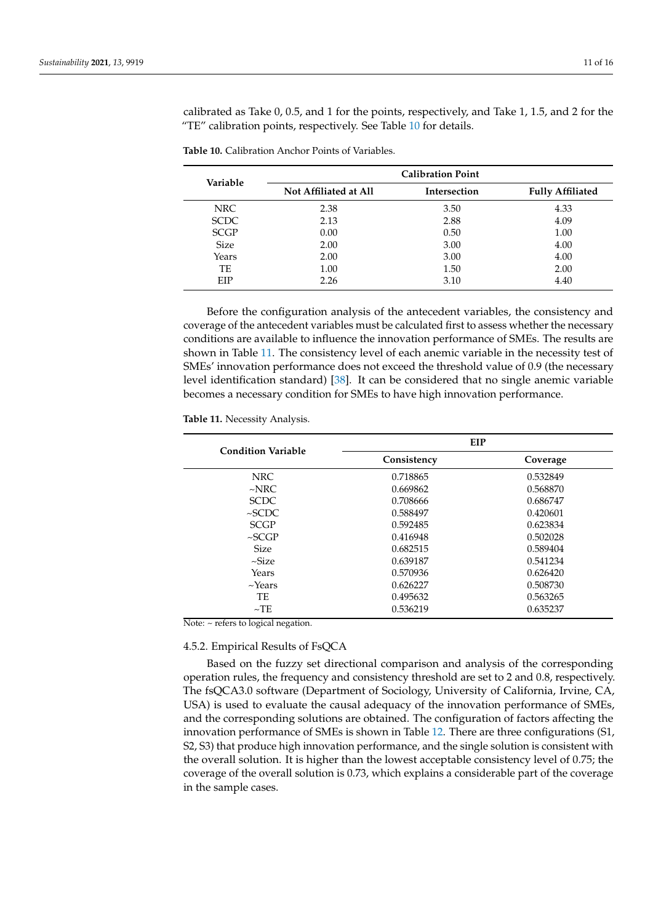calibrated as Take 0, 0.5, and 1 for the points, respectively, and Take 1, 1.5, and 2 for the "TE" calibration points, respectively. See Table [10](#page-10-0) for details.

| Variable    | <b>Calibration Point</b> |                     |                         |  |  |
|-------------|--------------------------|---------------------|-------------------------|--|--|
|             | Not Affiliated at All    | <b>Intersection</b> | <b>Fully Affiliated</b> |  |  |
| NRC         | 2.38                     | 3.50                | 4.33                    |  |  |
| <b>SCDC</b> | 2.13                     | 2.88                | 4.09                    |  |  |
| <b>SCGP</b> | 0.00                     | 0.50                | 1.00                    |  |  |
| <b>Size</b> | 2.00                     | 3.00                | 4.00                    |  |  |
| Years       | 2.00                     | 3.00                | 4.00                    |  |  |
| TE          | 1.00                     | 1.50                | 2.00                    |  |  |
| EIP         | 2.26                     | 3.10                | 4.40                    |  |  |

<span id="page-10-0"></span>**Table 10.** Calibration Anchor Points of Variables.

Before the configuration analysis of the antecedent variables, the consistency and coverage of the antecedent variables must be calculated first to assess whether the necessary conditions are available to influence the innovation performance of SMEs. The results are shown in Table [11.](#page-10-1) The consistency level of each anemic variable in the necessity test of SMEs' innovation performance does not exceed the threshold value of 0.9 (the necessary level identification standard) [\[38\]](#page-15-11). It can be considered that no single anemic variable becomes a necessary condition for SMEs to have high innovation performance.

<span id="page-10-1"></span>**Table 11.** Necessity Analysis.

| Consistency | Coverage |
|-------------|----------|
|             |          |
| 0.718865    | 0.532849 |
| 0.669862    | 0.568870 |
| 0.708666    | 0.686747 |
| 0.588497    | 0.420601 |
| 0.592485    | 0.623834 |
| 0.416948    | 0.502028 |
| 0.682515    | 0.589404 |
| 0.639187    | 0.541234 |
| 0.570936    | 0.626420 |
| 0.626227    | 0.508730 |
| 0.495632    | 0.563265 |
| 0.536219    | 0.635237 |
|             |          |

Note:  $\sim$  refers to logical negation.

#### 4.5.2. Empirical Results of FsQCA

Based on the fuzzy set directional comparison and analysis of the corresponding operation rules, the frequency and consistency threshold are set to 2 and 0.8, respectively. The fsQCA3.0 software (Department of Sociology, University of California, Irvine, CA, USA) is used to evaluate the causal adequacy of the innovation performance of SMEs, and the corresponding solutions are obtained. The configuration of factors affecting the innovation performance of SMEs is shown in Table [12.](#page-11-0) There are three configurations (S1, S2, S3) that produce high innovation performance, and the single solution is consistent with the overall solution. It is higher than the lowest acceptable consistency level of 0.75; the coverage of the overall solution is 0.73, which explains a considerable part of the coverage in the sample cases.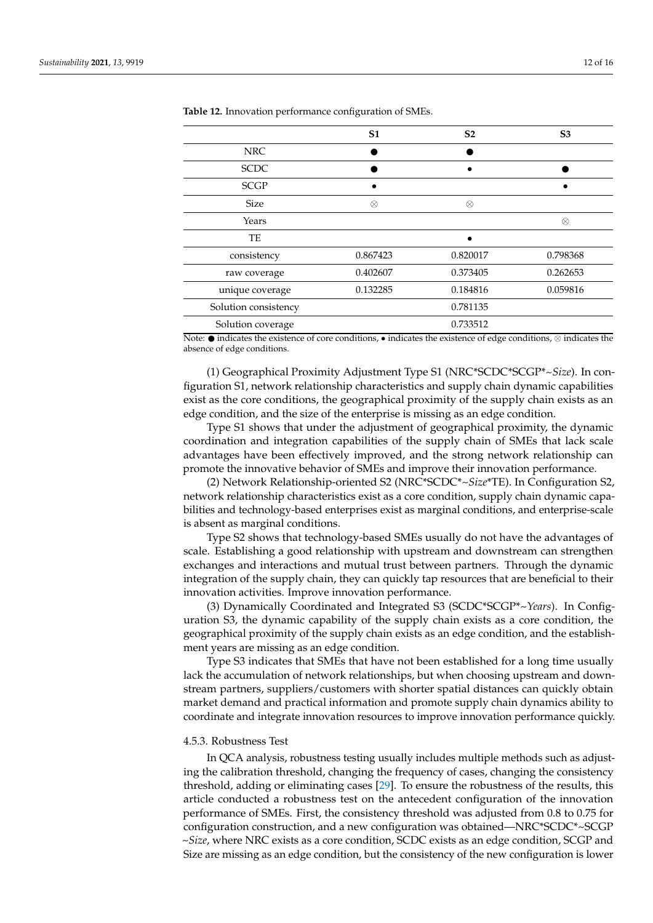|                      | S <sub>1</sub> | S <sub>2</sub> | S <sub>3</sub> |
|----------------------|----------------|----------------|----------------|
| <b>NRC</b>           |                |                |                |
| <b>SCDC</b>          |                |                |                |
| <b>SCGP</b>          |                |                |                |
| <b>Size</b>          | $\otimes$      | $\otimes$      |                |
| Years                |                |                | ⊗              |
| TE                   |                |                |                |
| consistency          | 0.867423       | 0.820017       | 0.798368       |
| raw coverage         | 0.402607       | 0.373405       | 0.262653       |
| unique coverage      | 0.132285       | 0.184816       | 0.059816       |
| Solution consistency |                | 0.781135       |                |
| Solution coverage    |                | 0.733512       |                |

<span id="page-11-0"></span>**Table 12.** Innovation performance configuration of SMEs.

Note:  $\bullet$  indicates the existence of core conditions,  $\bullet$  indicates the existence of edge conditions, ⊗ indicates the absence of edge conditions.

(1) Geographical Proximity Adjustment Type S1 (NRC\*SCDC\*SCGP\**~Size*). In configuration S1, network relationship characteristics and supply chain dynamic capabilities exist as the core conditions, the geographical proximity of the supply chain exists as an edge condition, and the size of the enterprise is missing as an edge condition.

Type S1 shows that under the adjustment of geographical proximity, the dynamic coordination and integration capabilities of the supply chain of SMEs that lack scale advantages have been effectively improved, and the strong network relationship can promote the innovative behavior of SMEs and improve their innovation performance.

(2) Network Relationship-oriented S2 (NRC\*SCDC\*~*Size*\*TE). In Configuration S2, network relationship characteristics exist as a core condition, supply chain dynamic capabilities and technology-based enterprises exist as marginal conditions, and enterprise-scale is absent as marginal conditions.

Type S2 shows that technology-based SMEs usually do not have the advantages of scale. Establishing a good relationship with upstream and downstream can strengthen exchanges and interactions and mutual trust between partners. Through the dynamic integration of the supply chain, they can quickly tap resources that are beneficial to their innovation activities. Improve innovation performance.

(3) Dynamically Coordinated and Integrated S3 (SCDC\*SCGP\*~*Years*). In Configuration S3, the dynamic capability of the supply chain exists as a core condition, the geographical proximity of the supply chain exists as an edge condition, and the establishment years are missing as an edge condition.

Type S3 indicates that SMEs that have not been established for a long time usually lack the accumulation of network relationships, but when choosing upstream and downstream partners, suppliers/customers with shorter spatial distances can quickly obtain market demand and practical information and promote supply chain dynamics ability to coordinate and integrate innovation resources to improve innovation performance quickly.

#### 4.5.3. Robustness Test

In QCA analysis, robustness testing usually includes multiple methods such as adjusting the calibration threshold, changing the frequency of cases, changing the consistency threshold, adding or eliminating cases [\[29\]](#page-15-2). To ensure the robustness of the results, this article conducted a robustness test on the antecedent configuration of the innovation performance of SMEs. First, the consistency threshold was adjusted from 0.8 to 0.75 for configuration construction, and a new configuration was obtained—NRC\*SCDC\*~SCGP ~*Size*, where NRC exists as a core condition, SCDC exists as an edge condition, SCGP and Size are missing as an edge condition, but the consistency of the new configuration is lower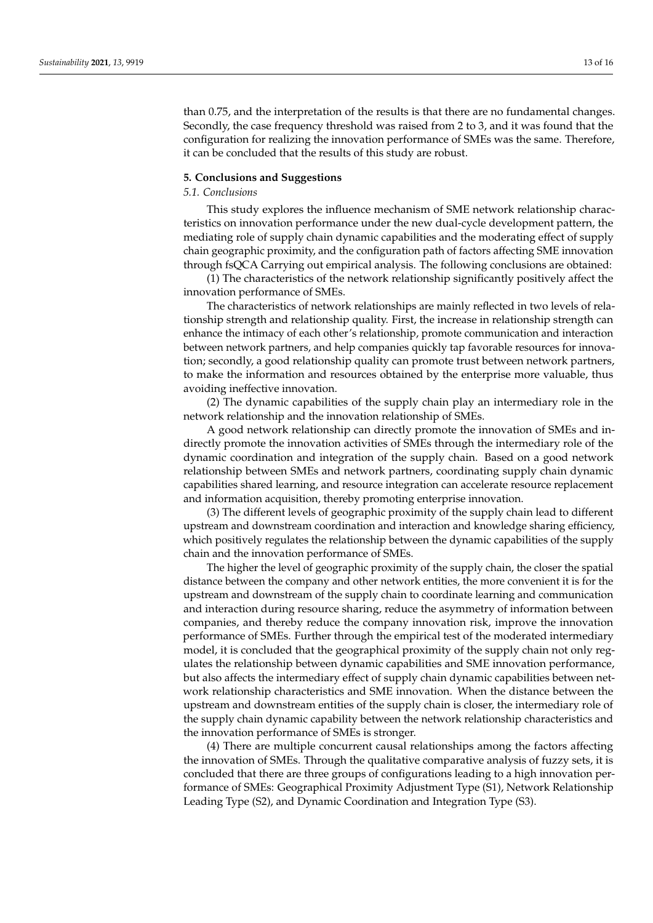than 0.75, and the interpretation of the results is that there are no fundamental changes. Secondly, the case frequency threshold was raised from 2 to 3, and it was found that the configuration for realizing the innovation performance of SMEs was the same. Therefore, it can be concluded that the results of this study are robust.

#### **5. Conclusions and Suggestions**

#### *5.1. Conclusions*

This study explores the influence mechanism of SME network relationship characteristics on innovation performance under the new dual-cycle development pattern, the mediating role of supply chain dynamic capabilities and the moderating effect of supply chain geographic proximity, and the configuration path of factors affecting SME innovation through fsQCA Carrying out empirical analysis. The following conclusions are obtained:

(1) The characteristics of the network relationship significantly positively affect the innovation performance of SMEs.

The characteristics of network relationships are mainly reflected in two levels of relationship strength and relationship quality. First, the increase in relationship strength can enhance the intimacy of each other's relationship, promote communication and interaction between network partners, and help companies quickly tap favorable resources for innovation; secondly, a good relationship quality can promote trust between network partners, to make the information and resources obtained by the enterprise more valuable, thus avoiding ineffective innovation.

(2) The dynamic capabilities of the supply chain play an intermediary role in the network relationship and the innovation relationship of SMEs.

A good network relationship can directly promote the innovation of SMEs and indirectly promote the innovation activities of SMEs through the intermediary role of the dynamic coordination and integration of the supply chain. Based on a good network relationship between SMEs and network partners, coordinating supply chain dynamic capabilities shared learning, and resource integration can accelerate resource replacement and information acquisition, thereby promoting enterprise innovation.

(3) The different levels of geographic proximity of the supply chain lead to different upstream and downstream coordination and interaction and knowledge sharing efficiency, which positively regulates the relationship between the dynamic capabilities of the supply chain and the innovation performance of SMEs.

The higher the level of geographic proximity of the supply chain, the closer the spatial distance between the company and other network entities, the more convenient it is for the upstream and downstream of the supply chain to coordinate learning and communication and interaction during resource sharing, reduce the asymmetry of information between companies, and thereby reduce the company innovation risk, improve the innovation performance of SMEs. Further through the empirical test of the moderated intermediary model, it is concluded that the geographical proximity of the supply chain not only regulates the relationship between dynamic capabilities and SME innovation performance, but also affects the intermediary effect of supply chain dynamic capabilities between network relationship characteristics and SME innovation. When the distance between the upstream and downstream entities of the supply chain is closer, the intermediary role of the supply chain dynamic capability between the network relationship characteristics and the innovation performance of SMEs is stronger.

(4) There are multiple concurrent causal relationships among the factors affecting the innovation of SMEs. Through the qualitative comparative analysis of fuzzy sets, it is concluded that there are three groups of configurations leading to a high innovation performance of SMEs: Geographical Proximity Adjustment Type (S1), Network Relationship Leading Type (S2), and Dynamic Coordination and Integration Type (S3).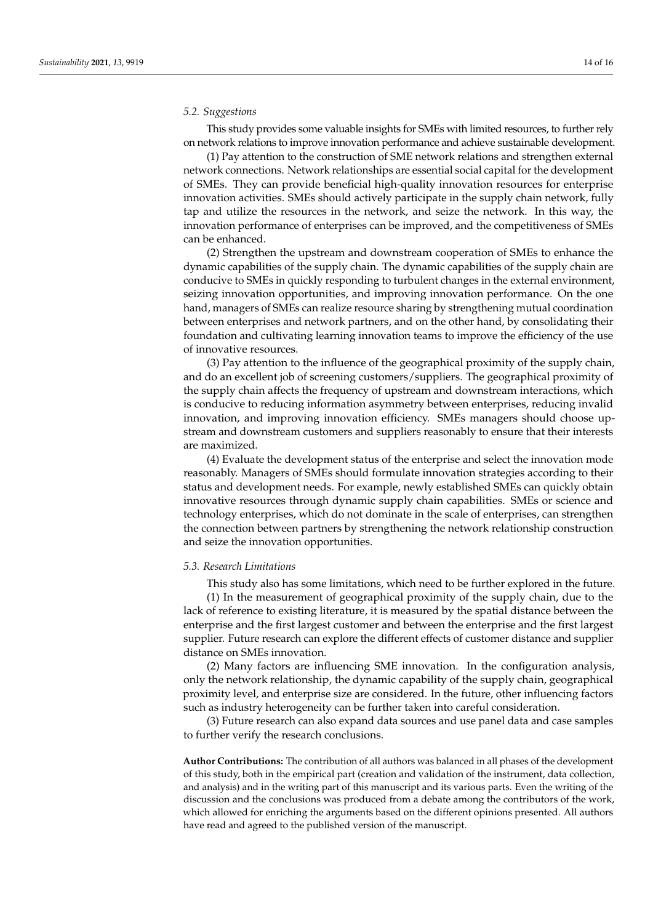## *5.2. Suggestions*

This study provides some valuable insights for SMEs with limited resources, to further rely on network relations to improve innovation performance and achieve sustainable development.

(1) Pay attention to the construction of SME network relations and strengthen external network connections. Network relationships are essential social capital for the development of SMEs. They can provide beneficial high-quality innovation resources for enterprise innovation activities. SMEs should actively participate in the supply chain network, fully tap and utilize the resources in the network, and seize the network. In this way, the innovation performance of enterprises can be improved, and the competitiveness of SMEs can be enhanced.

(2) Strengthen the upstream and downstream cooperation of SMEs to enhance the dynamic capabilities of the supply chain. The dynamic capabilities of the supply chain are conducive to SMEs in quickly responding to turbulent changes in the external environment, seizing innovation opportunities, and improving innovation performance. On the one hand, managers of SMEs can realize resource sharing by strengthening mutual coordination between enterprises and network partners, and on the other hand, by consolidating their foundation and cultivating learning innovation teams to improve the efficiency of the use of innovative resources.

(3) Pay attention to the influence of the geographical proximity of the supply chain, and do an excellent job of screening customers/suppliers. The geographical proximity of the supply chain affects the frequency of upstream and downstream interactions, which is conducive to reducing information asymmetry between enterprises, reducing invalid innovation, and improving innovation efficiency. SMEs managers should choose upstream and downstream customers and suppliers reasonably to ensure that their interests are maximized.

(4) Evaluate the development status of the enterprise and select the innovation mode reasonably. Managers of SMEs should formulate innovation strategies according to their status and development needs. For example, newly established SMEs can quickly obtain innovative resources through dynamic supply chain capabilities. SMEs or science and technology enterprises, which do not dominate in the scale of enterprises, can strengthen the connection between partners by strengthening the network relationship construction and seize the innovation opportunities.

#### *5.3. Research Limitations*

This study also has some limitations, which need to be further explored in the future.

(1) In the measurement of geographical proximity of the supply chain, due to the lack of reference to existing literature, it is measured by the spatial distance between the enterprise and the first largest customer and between the enterprise and the first largest supplier. Future research can explore the different effects of customer distance and supplier distance on SMEs innovation.

(2) Many factors are influencing SME innovation. In the configuration analysis, only the network relationship, the dynamic capability of the supply chain, geographical proximity level, and enterprise size are considered. In the future, other influencing factors such as industry heterogeneity can be further taken into careful consideration.

(3) Future research can also expand data sources and use panel data and case samples to further verify the research conclusions.

**Author Contributions:** The contribution of all authors was balanced in all phases of the development of this study, both in the empirical part (creation and validation of the instrument, data collection, and analysis) and in the writing part of this manuscript and its various parts. Even the writing of the discussion and the conclusions was produced from a debate among the contributors of the work, which allowed for enriching the arguments based on the different opinions presented. All authors have read and agreed to the published version of the manuscript.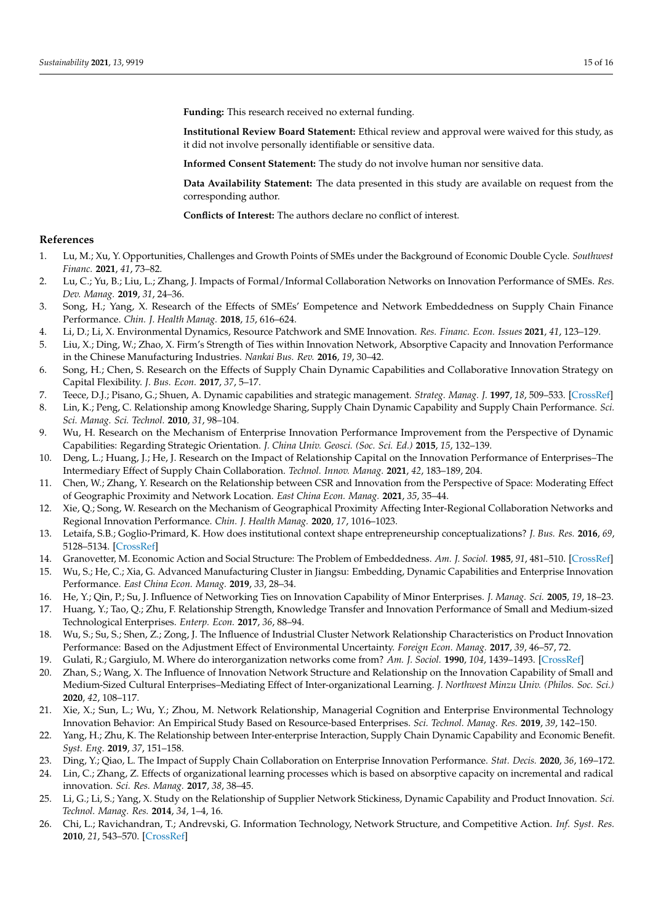**Funding:** This research received no external funding.

**Institutional Review Board Statement:** Ethical review and approval were waived for this study, as it did not involve personally identifiable or sensitive data.

**Informed Consent Statement:** The study do not involve human nor sensitive data.

**Data Availability Statement:** The data presented in this study are available on request from the corresponding author.

**Conflicts of Interest:** The authors declare no conflict of interest.

# **References**

- <span id="page-14-0"></span>1. Lu, M.; Xu, Y. Opportunities, Challenges and Growth Points of SMEs under the Background of Economic Double Cycle. *Southwest Financ.* **2021**, *41*, 73–82.
- <span id="page-14-1"></span>2. Lu, C.; Yu, B.; Liu, L.; Zhang, J. Impacts of Formal/Informal Collaboration Networks on Innovation Performance of SMEs. *Res. Dev. Manag.* **2019**, *31*, 24–36.
- <span id="page-14-2"></span>3. Song, H.; Yang, X. Research of the Effects of SMEs' Eompetence and Network Embeddedness on Supply Chain Finance Performance. *Chin. J. Health Manag.* **2018**, *15*, 616–624.
- <span id="page-14-3"></span>4. Li, D.; Li, X. Environmental Dynamics, Resource Patchwork and SME Innovation. *Res. Financ. Econ. Issues* **2021**, *41*, 123–129.
- <span id="page-14-4"></span>5. Liu, X.; Ding, W.; Zhao, X. Firm's Strength of Ties within Innovation Network, Absorptive Capacity and Innovation Performance in the Chinese Manufacturing Industries. *Nankai Bus. Rev.* **2016**, *19*, 30–42.
- <span id="page-14-5"></span>6. Song, H.; Chen, S. Research on the Effects of Supply Chain Dynamic Capabilities and Collaborative Innovation Strategy on Capital Flexibility. *J. Bus. Econ.* **2017**, *37*, 5–17.
- <span id="page-14-6"></span>7. Teece, D.J.; Pisano, G.; Shuen, A. Dynamic capabilities and strategic management. *Strateg. Manag. J.* **1997**, *18*, 509–533. [\[CrossRef\]](http://doi.org/10.1002/(SICI)1097-0266(199708)18:7<509::AID-SMJ882>3.0.CO;2-Z)
- <span id="page-14-7"></span>8. Lin, K.; Peng, C. Relationship among Knowledge Sharing, Supply Chain Dynamic Capability and Supply Chain Performance. *Sci. Sci. Manag. Sci. Technol.* **2010**, *31*, 98–104.
- 9. Wu, H. Research on the Mechanism of Enterprise Innovation Performance Improvement from the Perspective of Dynamic Capabilities: Regarding Strategic Orientation. *J. China Univ. Geosci. (Soc. Sci. Ed.)* **2015**, *15*, 132–139.
- <span id="page-14-8"></span>10. Deng, L.; Huang, J.; He, J. Research on the Impact of Relationship Capital on the Innovation Performance of Enterprises–The Intermediary Effect of Supply Chain Collaboration. *Technol. Innov. Manag.* **2021**, *42*, 183–189, 204.
- <span id="page-14-9"></span>11. Chen, W.; Zhang, Y. Research on the Relationship between CSR and Innovation from the Perspective of Space: Moderating Effect of Geographic Proximity and Network Location. *East China Econ. Manag.* **2021**, *35*, 35–44.
- <span id="page-14-10"></span>12. Xie, Q.; Song, W. Research on the Mechanism of Geographical Proximity Affecting Inter-Regional Collaboration Networks and Regional Innovation Performance. *Chin. J. Health Manag.* **2020**, *17*, 1016–1023.
- <span id="page-14-11"></span>13. Letaifa, S.B.; Goglio-Primard, K. How does institutional context shape entrepreneurship conceptualizations? *J. Bus. Res.* **2016**, *69*, 5128–5134. [\[CrossRef\]](http://doi.org/10.1016/j.jbusres.2016.04.092)
- <span id="page-14-12"></span>14. Granovetter, M. Economic Action and Social Structure: The Problem of Embeddedness. *Am. J. Sociol.* **1985**, *91*, 481–510. [\[CrossRef\]](http://doi.org/10.1086/228311)
- <span id="page-14-13"></span>15. Wu, S.; He, C.; Xia, G. Advanced Manufacturing Cluster in Jiangsu: Embedding, Dynamic Capabilities and Enterprise Innovation Performance. *East China Econ. Manag.* **2019**, *33*, 28–34.
- <span id="page-14-14"></span>16. He, Y.; Qin, P.; Su, J. Influence of Networking Ties on Innovation Capability of Minor Enterprises. *J. Manag. Sci.* **2005**, *19*, 18–23.
- <span id="page-14-15"></span>17. Huang, Y.; Tao, Q.; Zhu, F. Relationship Strength, Knowledge Transfer and Innovation Performance of Small and Medium-sized Technological Enterprises. *Enterp. Econ.* **2017**, *36*, 88–94.
- <span id="page-14-16"></span>18. Wu, S.; Su, S.; Shen, Z.; Zong, J. The Influence of Industrial Cluster Network Relationship Characteristics on Product Innovation Performance: Based on the Adjustment Effect of Environmental Uncertainty. *Foreign Econ. Manag.* **2017**, *39*, 46–57, 72.
- <span id="page-14-17"></span>19. Gulati, R.; Gargiulo, M. Where do interorganization networks come from? *Am. J. Sociol.* **1990**, *104*, 1439–1493. [\[CrossRef\]](http://doi.org/10.1086/210179)
- <span id="page-14-18"></span>20. Zhan, S.; Wang, X. The Influence of Innovation Network Structure and Relationship on the Innovation Capability of Small and Medium-Sized Cultural Enterprises–Mediating Effect of Inter-organizational Learning. *J. Northwest Minzu Univ. (Philos. Soc. Sci.)* **2020**, *42*, 108–117.
- <span id="page-14-19"></span>21. Xie, X.; Sun, L.; Wu, Y.; Zhou, M. Network Relationship, Managerial Cognition and Enterprise Environmental Technology Innovation Behavior: An Empirical Study Based on Resource-based Enterprises. *Sci. Technol. Manag. Res.* **2019**, *39*, 142–150.
- <span id="page-14-20"></span>22. Yang, H.; Zhu, K. The Relationship between Inter-enterprise Interaction, Supply Chain Dynamic Capability and Economic Benefit. *Syst. Eng.* **2019**, *37*, 151–158.
- <span id="page-14-21"></span>23. Ding, Y.; Qiao, L. The Impact of Supply Chain Collaboration on Enterprise Innovation Performance. *Stat. Decis.* **2020**, *36*, 169–172.
- <span id="page-14-22"></span>24. Lin, C.; Zhang, Z. Effects of organizational learning processes which is based on absorptive capacity on incremental and radical innovation. *Sci. Res. Manag.* **2017**, *38*, 38–45.
- <span id="page-14-23"></span>25. Li, G.; Li, S.; Yang, X. Study on the Relationship of Supplier Network Stickiness, Dynamic Capability and Product Innovation. *Sci. Technol. Manag. Res.* **2014**, *34*, 1–4, 16.
- <span id="page-14-24"></span>26. Chi, L.; Ravichandran, T.; Andrevski, G. Information Technology, Network Structure, and Competitive Action. *Inf. Syst. Res.* **2010**, *21*, 543–570. [\[CrossRef\]](http://doi.org/10.1287/isre.1100.0296)